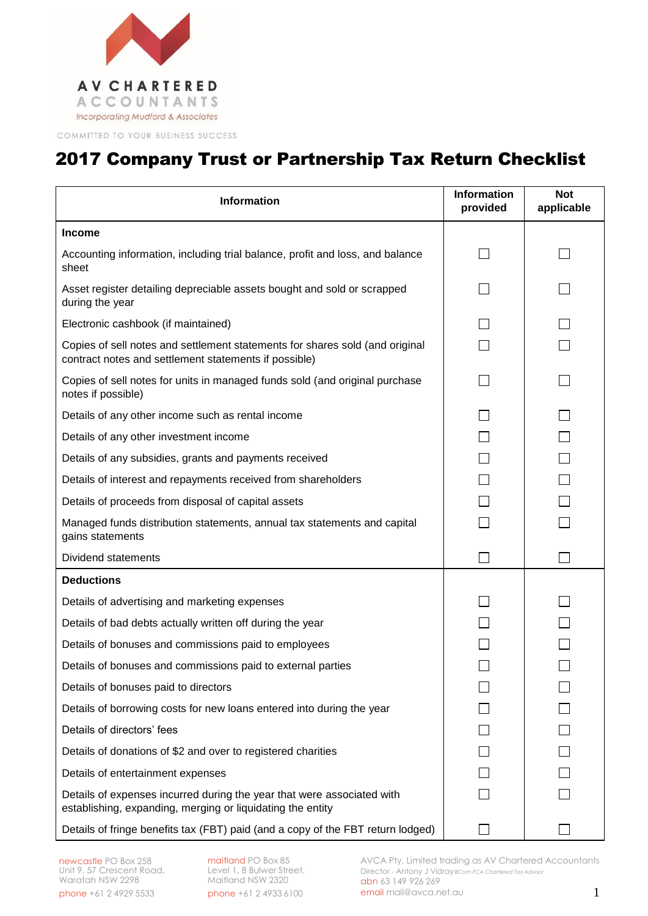

COMMITTED TO YOUR BUSINESS SUCCESS

## 2017 Company Trust or Partnership Tax Return Checklist

| <b>Information</b>                                                                                                                    | <b>Information</b><br>provided | <b>Not</b><br>applicable |
|---------------------------------------------------------------------------------------------------------------------------------------|--------------------------------|--------------------------|
| <b>Income</b>                                                                                                                         |                                |                          |
| Accounting information, including trial balance, profit and loss, and balance<br>sheet                                                |                                |                          |
| Asset register detailing depreciable assets bought and sold or scrapped<br>during the year                                            |                                |                          |
| Electronic cashbook (if maintained)                                                                                                   |                                |                          |
| Copies of sell notes and settlement statements for shares sold (and original<br>contract notes and settlement statements if possible) |                                |                          |
| Copies of sell notes for units in managed funds sold (and original purchase<br>notes if possible)                                     |                                |                          |
| Details of any other income such as rental income                                                                                     |                                |                          |
| Details of any other investment income                                                                                                |                                |                          |
| Details of any subsidies, grants and payments received                                                                                |                                |                          |
| Details of interest and repayments received from shareholders                                                                         |                                |                          |
| Details of proceeds from disposal of capital assets                                                                                   |                                |                          |
| Managed funds distribution statements, annual tax statements and capital<br>gains statements                                          |                                |                          |
| Dividend statements                                                                                                                   |                                |                          |
| <b>Deductions</b>                                                                                                                     |                                |                          |
| Details of advertising and marketing expenses                                                                                         |                                |                          |
| Details of bad debts actually written off during the year                                                                             |                                |                          |
| Details of bonuses and commissions paid to employees                                                                                  |                                |                          |
| Details of bonuses and commissions paid to external parties                                                                           |                                |                          |
| Details of bonuses paid to directors                                                                                                  |                                |                          |
| Details of borrowing costs for new loans entered into during the year                                                                 |                                |                          |
| Details of directors' fees                                                                                                            |                                |                          |
| Details of donations of \$2 and over to registered charities                                                                          |                                |                          |
| Details of entertainment expenses                                                                                                     |                                |                          |
| Details of expenses incurred during the year that were associated with<br>establishing, expanding, merging or liquidating the entity  |                                |                          |
| Details of fringe benefits tax (FBT) paid (and a copy of the FBT return lodged)                                                       |                                |                          |

maitland PO Box 85 Level 1, 8 Bulwer Street, Maitland NSW 2320 phone +61 2 4933 6100

AVCA Pty. Limited trading as AV Chartered Accountants Director - Antony J Vidray *BCom FCA Chartered Tax Advisor* abn 63 149 926 269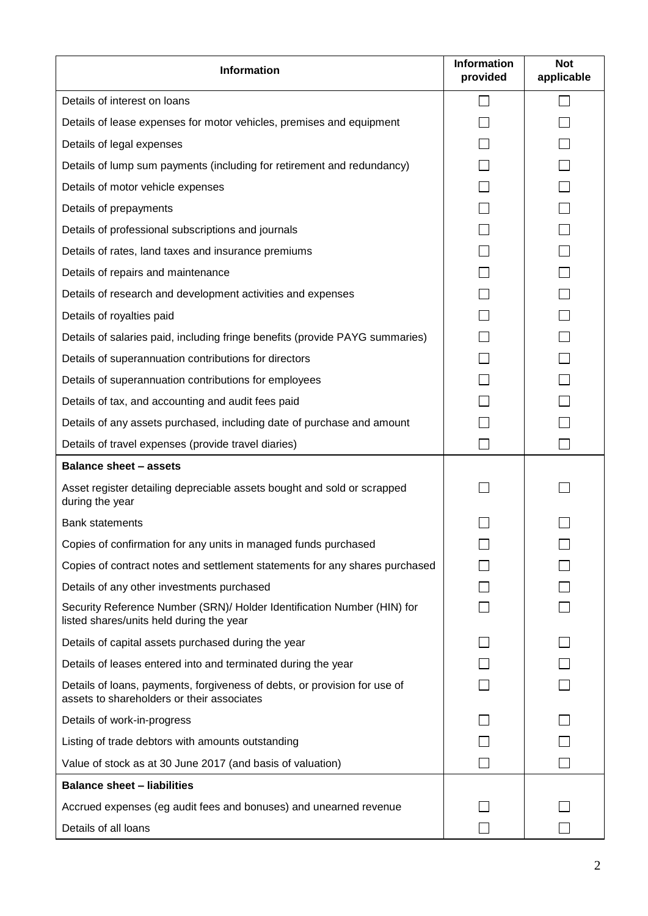| <b>Information</b>                                                                                                      | <b>Information</b><br>provided | <b>Not</b><br>applicable |
|-------------------------------------------------------------------------------------------------------------------------|--------------------------------|--------------------------|
| Details of interest on loans                                                                                            |                                |                          |
| Details of lease expenses for motor vehicles, premises and equipment                                                    |                                |                          |
| Details of legal expenses                                                                                               |                                |                          |
| Details of lump sum payments (including for retirement and redundancy)                                                  |                                |                          |
| Details of motor vehicle expenses                                                                                       |                                |                          |
| Details of prepayments                                                                                                  |                                |                          |
| Details of professional subscriptions and journals                                                                      |                                |                          |
| Details of rates, land taxes and insurance premiums                                                                     |                                |                          |
| Details of repairs and maintenance                                                                                      |                                |                          |
| Details of research and development activities and expenses                                                             |                                |                          |
| Details of royalties paid                                                                                               |                                |                          |
| Details of salaries paid, including fringe benefits (provide PAYG summaries)                                            |                                |                          |
| Details of superannuation contributions for directors                                                                   |                                |                          |
| Details of superannuation contributions for employees                                                                   |                                |                          |
| Details of tax, and accounting and audit fees paid                                                                      |                                |                          |
| Details of any assets purchased, including date of purchase and amount                                                  |                                |                          |
| Details of travel expenses (provide travel diaries)                                                                     |                                |                          |
| <b>Balance sheet - assets</b>                                                                                           |                                |                          |
| Asset register detailing depreciable assets bought and sold or scrapped<br>during the year                              |                                |                          |
| <b>Bank statements</b>                                                                                                  |                                |                          |
| Copies of confirmation for any units in managed funds purchased                                                         |                                |                          |
| Copies of contract notes and settlement statements for any shares purchased                                             |                                |                          |
| Details of any other investments purchased                                                                              |                                |                          |
| Security Reference Number (SRN)/ Holder Identification Number (HIN) for<br>listed shares/units held during the year     |                                |                          |
| Details of capital assets purchased during the year                                                                     |                                |                          |
| Details of leases entered into and terminated during the year                                                           |                                |                          |
| Details of loans, payments, forgiveness of debts, or provision for use of<br>assets to shareholders or their associates |                                |                          |
| Details of work-in-progress                                                                                             |                                |                          |
| Listing of trade debtors with amounts outstanding                                                                       |                                |                          |
| Value of stock as at 30 June 2017 (and basis of valuation)                                                              | k.                             |                          |
| <b>Balance sheet - liabilities</b>                                                                                      |                                |                          |
| Accrued expenses (eg audit fees and bonuses) and unearned revenue                                                       |                                |                          |
| Details of all loans                                                                                                    |                                |                          |